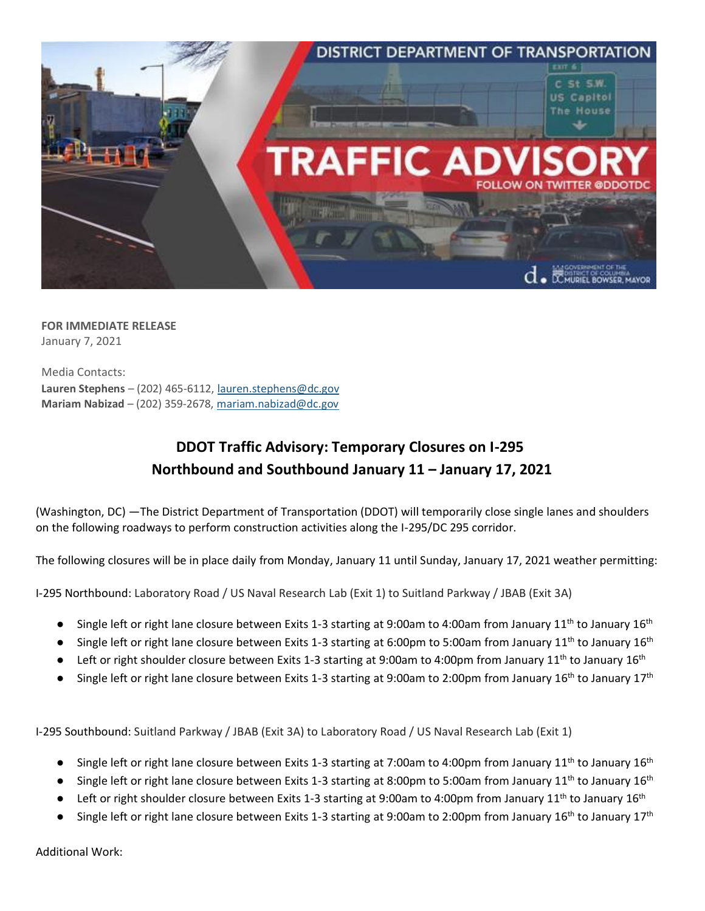

**FOR IMMEDIATE RELEASE** January 7, 2021

Media Contacts: **Lauren Stephens** – (202) 465-6112[, lauren.stephens@dc.gov](mailto:lauren.stephens@dc.gov) **Mariam Nabizad** – (202) 359-2678, [mariam.nabizad@dc.gov](mailto:mariam.nabizad@dc.gov)

## **DDOT Traffic Advisory: Temporary Closures on I-295 Northbound and Southbound January 11 – January 17, 2021**

(Washington, DC) —The District Department of Transportation (DDOT) will temporarily close single lanes and shoulders on the following roadways to perform construction activities along the I-295/DC 295 corridor.

The following closures will be in place daily from Monday, January 11 until Sunday, January 17, 2021 weather permitting:

I-295 Northbound: Laboratory Road / US Naval Research Lab (Exit 1) to Suitland Parkway / JBAB (Exit 3A)

- **•** Single left or right lane closure between Exits 1-3 starting at 9:00am to 4:00am from January 11<sup>th</sup> to January 16<sup>th</sup>
- Single left or right lane closure between Exits 1-3 starting at 6:00pm to 5:00am from January 11<sup>th</sup> to January 16<sup>th</sup>
- **•** Left or right shoulder closure between Exits 1-3 starting at 9:00am to 4:00pm from January 11<sup>th</sup> to January 16<sup>th</sup>
- **•** Single left or right lane closure between Exits 1-3 starting at 9:00am to 2:00pm from January 16<sup>th</sup> to January 17<sup>th</sup>

I-295 Southbound: Suitland Parkway / JBAB (Exit 3A) to Laboratory Road / US Naval Research Lab (Exit 1)

- **•** Single left or right lane closure between Exits 1-3 starting at 7:00am to 4:00pm from January 11<sup>th</sup> to January 16<sup>th</sup>
- **•** Single left or right lane closure between Exits 1-3 starting at 8:00pm to 5:00am from January 11<sup>th</sup> to January 16<sup>th</sup>
- **•** Left or right shoulder closure between Exits 1-3 starting at 9:00am to 4:00pm from January 11<sup>th</sup> to January 16<sup>th</sup>
- Single left or right lane closure between Exits 1-3 starting at 9:00am to 2:00pm from January 16<sup>th</sup> to January 17<sup>th</sup>

Additional Work: